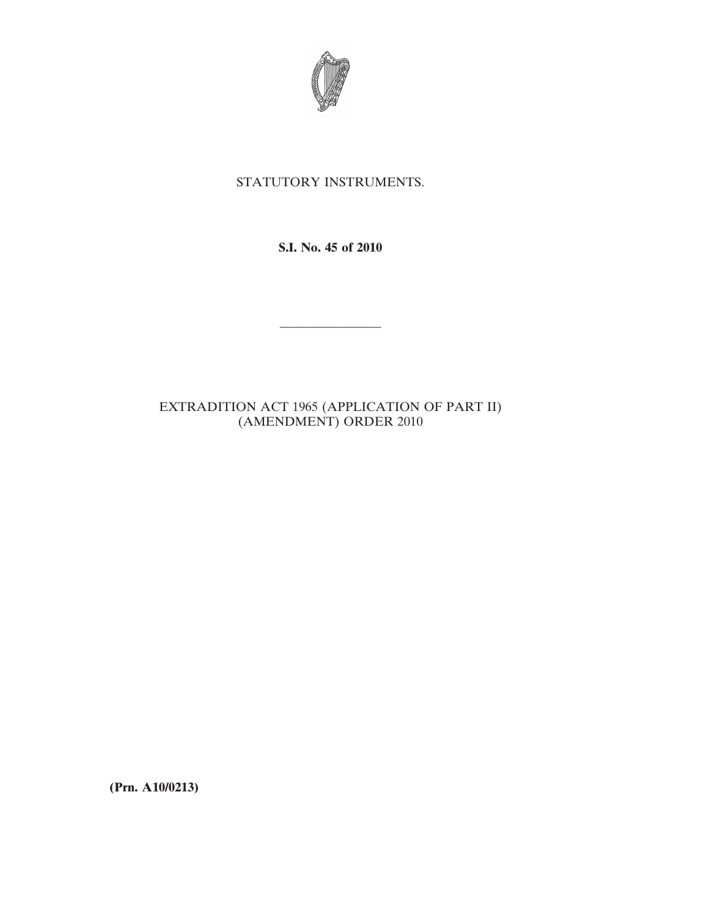

# STATUTORY INSTRUMENTS.

**S.I. No. 45 of 2010**

————————

# EXTRADITION ACT 1965 (APPLICATION OF PART II) (AMENDMENT) ORDER 2010

**(Prn. A10/0213)**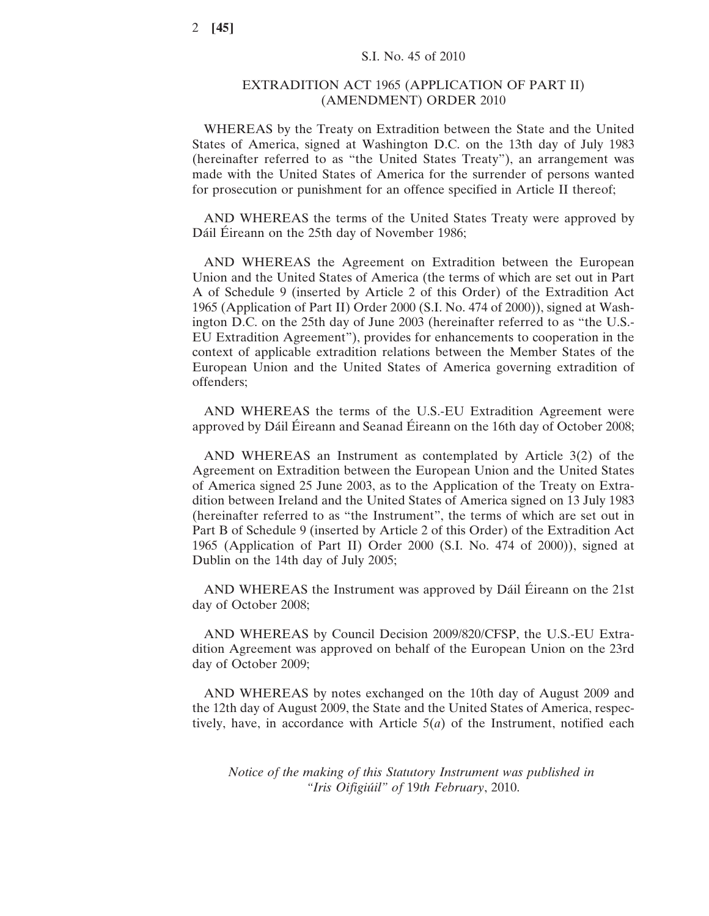## EXTRADITION ACT 1965 (APPLICATION OF PART II) (AMENDMENT) ORDER 2010

WHEREAS by the Treaty on Extradition between the State and the United States of America, signed at Washington D.C. on the 13th day of July 1983 (hereinafter referred to as "the United States Treaty"), an arrangement was made with the United States of America for the surrender of persons wanted for prosecution or punishment for an offence specified in Article II thereof;

AND WHEREAS the terms of the United States Treaty were approved by Dáil Éireann on the 25th day of November 1986;

AND WHEREAS the Agreement on Extradition between the European Union and the United States of America (the terms of which are set out in Part A of Schedule 9 (inserted by Article 2 of this Order) of the Extradition Act 1965 (Application of Part II) Order 2000 (S.I. No. 474 of 2000)), signed at Washington D.C. on the 25th day of June 2003 (hereinafter referred to as "the U.S.- EU Extradition Agreement"), provides for enhancements to cooperation in the context of applicable extradition relations between the Member States of the European Union and the United States of America governing extradition of offenders;

AND WHEREAS the terms of the U.S.-EU Extradition Agreement were approved by Dáil Éireann and Seanad Éireann on the 16th day of October 2008;

AND WHEREAS an Instrument as contemplated by Article 3(2) of the Agreement on Extradition between the European Union and the United States of America signed 25 June 2003, as to the Application of the Treaty on Extradition between Ireland and the United States of America signed on 13 July 1983 (hereinafter referred to as "the Instrument", the terms of which are set out in Part B of Schedule 9 (inserted by Article 2 of this Order) of the Extradition Act 1965 (Application of Part II) Order 2000 (S.I. No. 474 of 2000)), signed at Dublin on the 14th day of July 2005;

AND WHEREAS the Instrument was approved by Dáil Éireann on the 21st day of October 2008;

AND WHEREAS by Council Decision 2009/820/CFSP, the U.S.-EU Extradition Agreement was approved on behalf of the European Union on the 23rd day of October 2009;

AND WHEREAS by notes exchanged on the 10th day of August 2009 and the 12th day of August 2009, the State and the United States of America, respectively, have, in accordance with Article 5(*a*) of the Instrument, notified each

*Notice of the making of this Statutory Instrument was published in "Iris Oifigiúil" of* 19*th February*, 2010.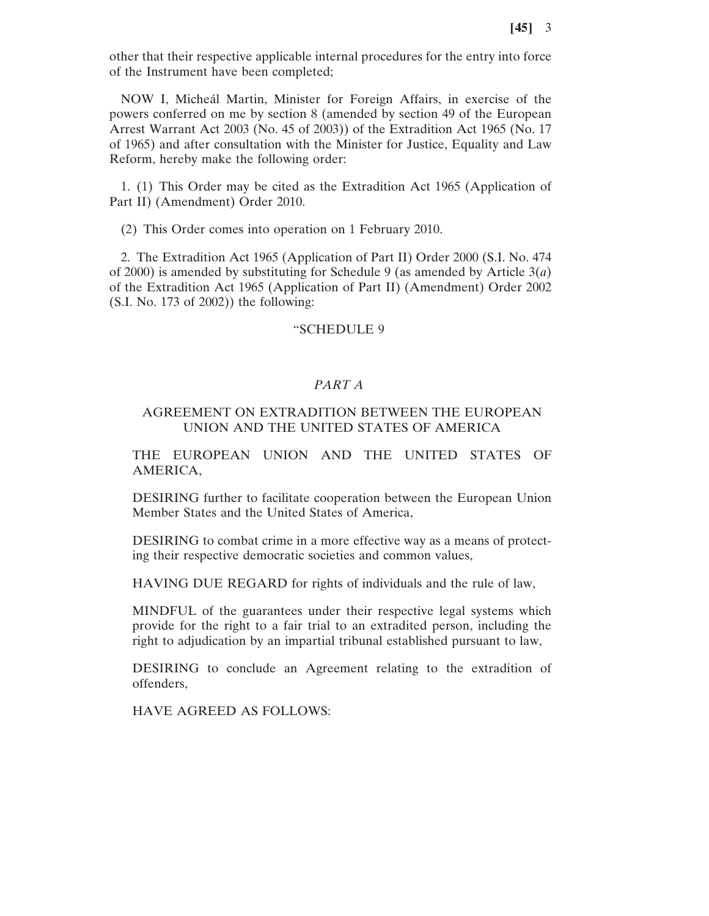other that their respective applicable internal procedures for the entry into force of the Instrument have been completed;

NOW I, Micheál Martin, Minister for Foreign Affairs, in exercise of the powers conferred on me by section 8 (amended by section 49 of the European Arrest Warrant Act 2003 (No. 45 of 2003)) of the Extradition Act 1965 (No. 17 of 1965) and after consultation with the Minister for Justice, Equality and Law Reform, hereby make the following order:

1. (1) This Order may be cited as the Extradition Act 1965 (Application of Part II) (Amendment) Order 2010.

(2) This Order comes into operation on 1 February 2010.

2. The Extradition Act 1965 (Application of Part II) Order 2000 (S.I. No. 474 of 2000) is amended by substituting for Schedule 9 (as amended by Article 3(*a*) of the Extradition Act 1965 (Application of Part II) (Amendment) Order 2002 (S.I. No. 173 of 2002)) the following:

#### "SCHEDULE 9

## *PART A*

## AGREEMENT ON EXTRADITION BETWEEN THE EUROPEAN UNION AND THE UNITED STATES OF AMERICA

THE EUROPEAN UNION AND THE UNITED STATES OF AMERICA,

DESIRING further to facilitate cooperation between the European Union Member States and the United States of America,

DESIRING to combat crime in a more effective way as a means of protecting their respective democratic societies and common values,

HAVING DUE REGARD for rights of individuals and the rule of law,

MINDFUL of the guarantees under their respective legal systems which provide for the right to a fair trial to an extradited person, including the right to adjudication by an impartial tribunal established pursuant to law,

DESIRING to conclude an Agreement relating to the extradition of offenders,

HAVE AGREED AS FOLLOWS: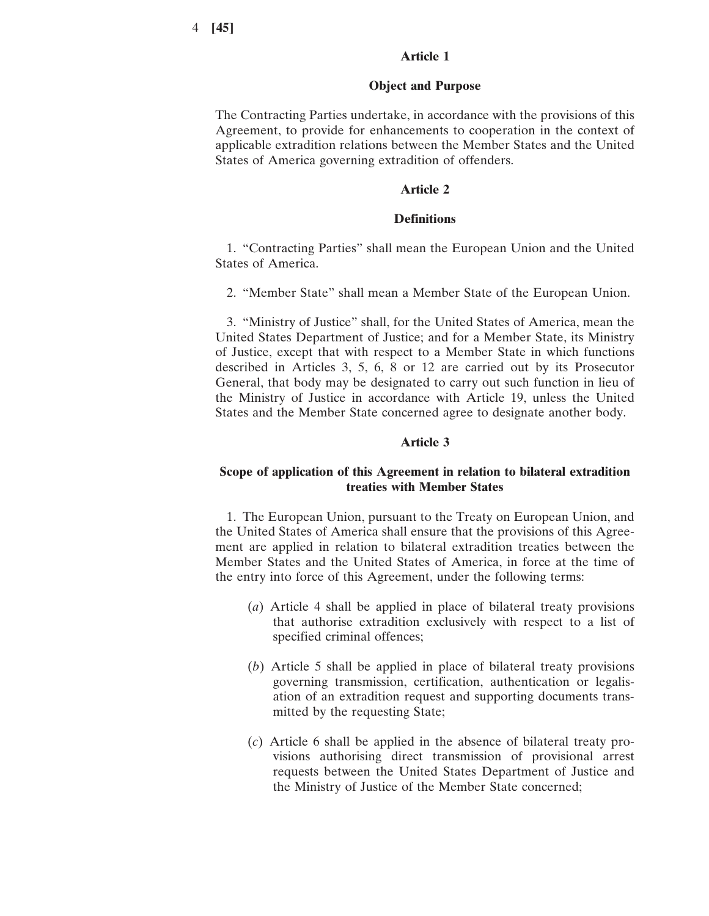## **Article 1**

### **Object and Purpose**

The Contracting Parties undertake, in accordance with the provisions of this Agreement, to provide for enhancements to cooperation in the context of applicable extradition relations between the Member States and the United States of America governing extradition of offenders.

### **Article 2**

## **Definitions**

1. "Contracting Parties" shall mean the European Union and the United States of America.

2. "Member State" shall mean a Member State of the European Union.

3. "Ministry of Justice" shall, for the United States of America, mean the United States Department of Justice; and for a Member State, its Ministry of Justice, except that with respect to a Member State in which functions described in Articles 3, 5, 6, 8 or 12 are carried out by its Prosecutor General, that body may be designated to carry out such function in lieu of the Ministry of Justice in accordance with Article 19, unless the United States and the Member State concerned agree to designate another body.

### **Article 3**

## **Scope of application of this Agreement in relation to bilateral extradition treaties with Member States**

1. The European Union, pursuant to the Treaty on European Union, and the United States of America shall ensure that the provisions of this Agreement are applied in relation to bilateral extradition treaties between the Member States and the United States of America, in force at the time of the entry into force of this Agreement, under the following terms:

- (*a*) Article 4 shall be applied in place of bilateral treaty provisions that authorise extradition exclusively with respect to a list of specified criminal offences;
- (*b*) Article 5 shall be applied in place of bilateral treaty provisions governing transmission, certification, authentication or legalisation of an extradition request and supporting documents transmitted by the requesting State;
- (*c*) Article 6 shall be applied in the absence of bilateral treaty provisions authorising direct transmission of provisional arrest requests between the United States Department of Justice and the Ministry of Justice of the Member State concerned;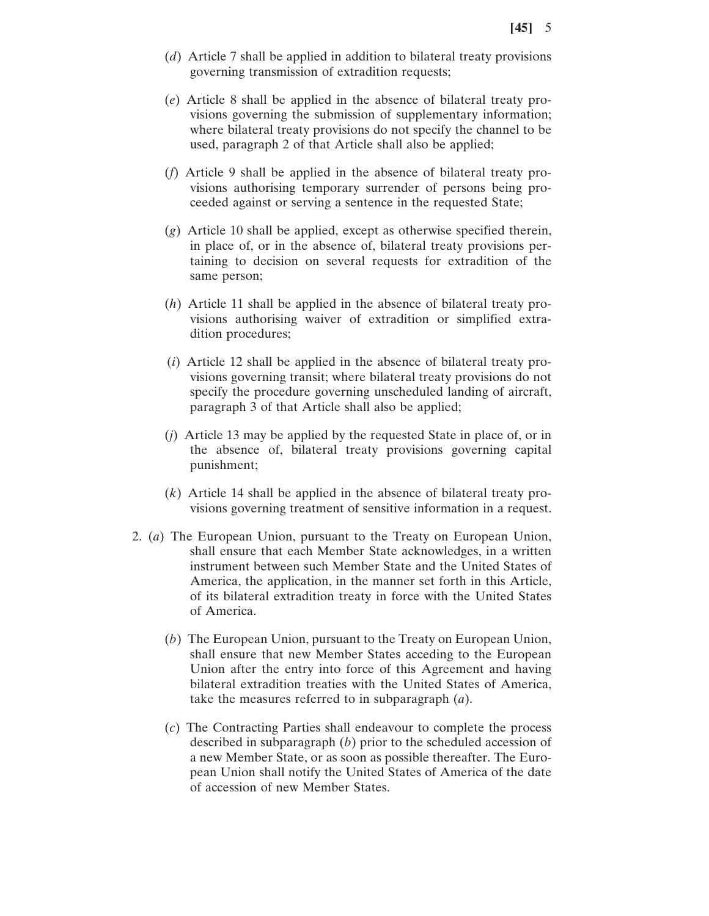- (*d*) Article 7 shall be applied in addition to bilateral treaty provisions governing transmission of extradition requests;
- (*e*) Article 8 shall be applied in the absence of bilateral treaty provisions governing the submission of supplementary information; where bilateral treaty provisions do not specify the channel to be used, paragraph 2 of that Article shall also be applied;
- (*f*) Article 9 shall be applied in the absence of bilateral treaty provisions authorising temporary surrender of persons being proceeded against or serving a sentence in the requested State;
- (*g*) Article 10 shall be applied, except as otherwise specified therein, in place of, or in the absence of, bilateral treaty provisions pertaining to decision on several requests for extradition of the same person;
- (*h*) Article 11 shall be applied in the absence of bilateral treaty provisions authorising waiver of extradition or simplified extradition procedures;
- (*i*) Article 12 shall be applied in the absence of bilateral treaty provisions governing transit; where bilateral treaty provisions do not specify the procedure governing unscheduled landing of aircraft, paragraph 3 of that Article shall also be applied;
- (*j*) Article 13 may be applied by the requested State in place of, or in the absence of, bilateral treaty provisions governing capital punishment;
- (*k*) Article 14 shall be applied in the absence of bilateral treaty provisions governing treatment of sensitive information in a request.
- 2. (*a*) The European Union, pursuant to the Treaty on European Union, shall ensure that each Member State acknowledges, in a written instrument between such Member State and the United States of America, the application, in the manner set forth in this Article, of its bilateral extradition treaty in force with the United States of America.
	- (*b*) The European Union, pursuant to the Treaty on European Union, shall ensure that new Member States acceding to the European Union after the entry into force of this Agreement and having bilateral extradition treaties with the United States of America, take the measures referred to in subparagraph (*a*).
	- (*c*) The Contracting Parties shall endeavour to complete the process described in subparagraph (*b*) prior to the scheduled accession of a new Member State, or as soon as possible thereafter. The European Union shall notify the United States of America of the date of accession of new Member States.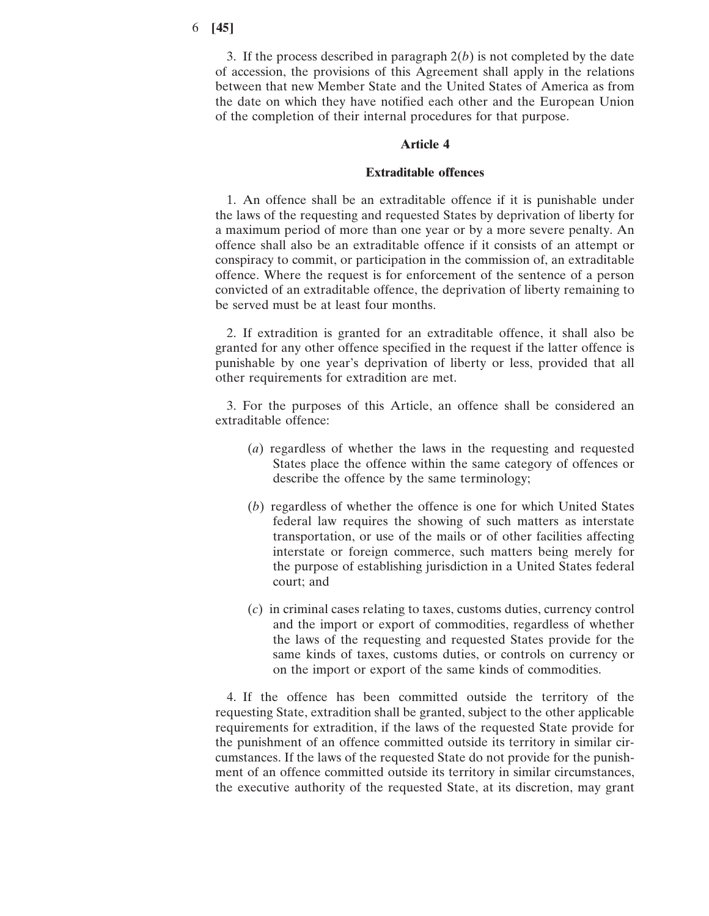3. If the process described in paragraph 2(*b*) is not completed by the date of accession, the provisions of this Agreement shall apply in the relations between that new Member State and the United States of America as from the date on which they have notified each other and the European Union of the completion of their internal procedures for that purpose.

### **Article 4**

## **Extraditable offences**

1. An offence shall be an extraditable offence if it is punishable under the laws of the requesting and requested States by deprivation of liberty for a maximum period of more than one year or by a more severe penalty. An offence shall also be an extraditable offence if it consists of an attempt or conspiracy to commit, or participation in the commission of, an extraditable offence. Where the request is for enforcement of the sentence of a person convicted of an extraditable offence, the deprivation of liberty remaining to be served must be at least four months.

2. If extradition is granted for an extraditable offence, it shall also be granted for any other offence specified in the request if the latter offence is punishable by one year's deprivation of liberty or less, provided that all other requirements for extradition are met.

3. For the purposes of this Article, an offence shall be considered an extraditable offence:

- (*a*) regardless of whether the laws in the requesting and requested States place the offence within the same category of offences or describe the offence by the same terminology;
- (*b*) regardless of whether the offence is one for which United States federal law requires the showing of such matters as interstate transportation, or use of the mails or of other facilities affecting interstate or foreign commerce, such matters being merely for the purpose of establishing jurisdiction in a United States federal court; and
- (*c*) in criminal cases relating to taxes, customs duties, currency control and the import or export of commodities, regardless of whether the laws of the requesting and requested States provide for the same kinds of taxes, customs duties, or controls on currency or on the import or export of the same kinds of commodities.

4. If the offence has been committed outside the territory of the requesting State, extradition shall be granted, subject to the other applicable requirements for extradition, if the laws of the requested State provide for the punishment of an offence committed outside its territory in similar circumstances. If the laws of the requested State do not provide for the punishment of an offence committed outside its territory in similar circumstances, the executive authority of the requested State, at its discretion, may grant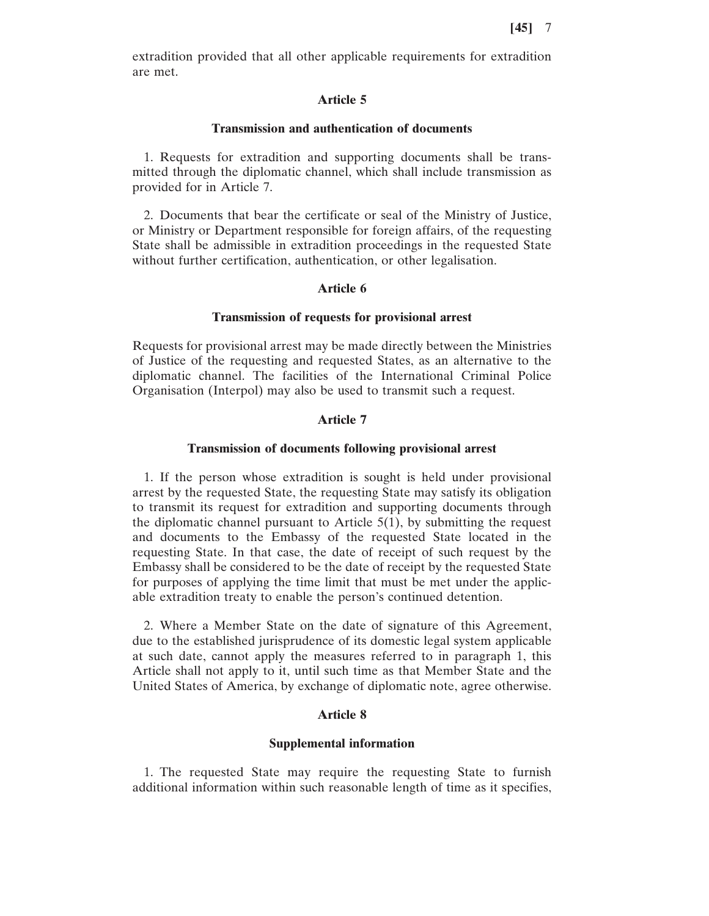extradition provided that all other applicable requirements for extradition are met.

## **Article 5**

#### **Transmission and authentication of documents**

1. Requests for extradition and supporting documents shall be transmitted through the diplomatic channel, which shall include transmission as provided for in Article 7.

2. Documents that bear the certificate or seal of the Ministry of Justice, or Ministry or Department responsible for foreign affairs, of the requesting State shall be admissible in extradition proceedings in the requested State without further certification, authentication, or other legalisation.

### **Article 6**

### **Transmission of requests for provisional arrest**

Requests for provisional arrest may be made directly between the Ministries of Justice of the requesting and requested States, as an alternative to the diplomatic channel. The facilities of the International Criminal Police Organisation (Interpol) may also be used to transmit such a request.

## **Article 7**

#### **Transmission of documents following provisional arrest**

1. If the person whose extradition is sought is held under provisional arrest by the requested State, the requesting State may satisfy its obligation to transmit its request for extradition and supporting documents through the diplomatic channel pursuant to Article  $5(1)$ , by submitting the request and documents to the Embassy of the requested State located in the requesting State. In that case, the date of receipt of such request by the Embassy shall be considered to be the date of receipt by the requested State for purposes of applying the time limit that must be met under the applicable extradition treaty to enable the person's continued detention.

2. Where a Member State on the date of signature of this Agreement, due to the established jurisprudence of its domestic legal system applicable at such date, cannot apply the measures referred to in paragraph 1, this Article shall not apply to it, until such time as that Member State and the United States of America, by exchange of diplomatic note, agree otherwise.

## **Article 8**

### **Supplemental information**

1. The requested State may require the requesting State to furnish additional information within such reasonable length of time as it specifies,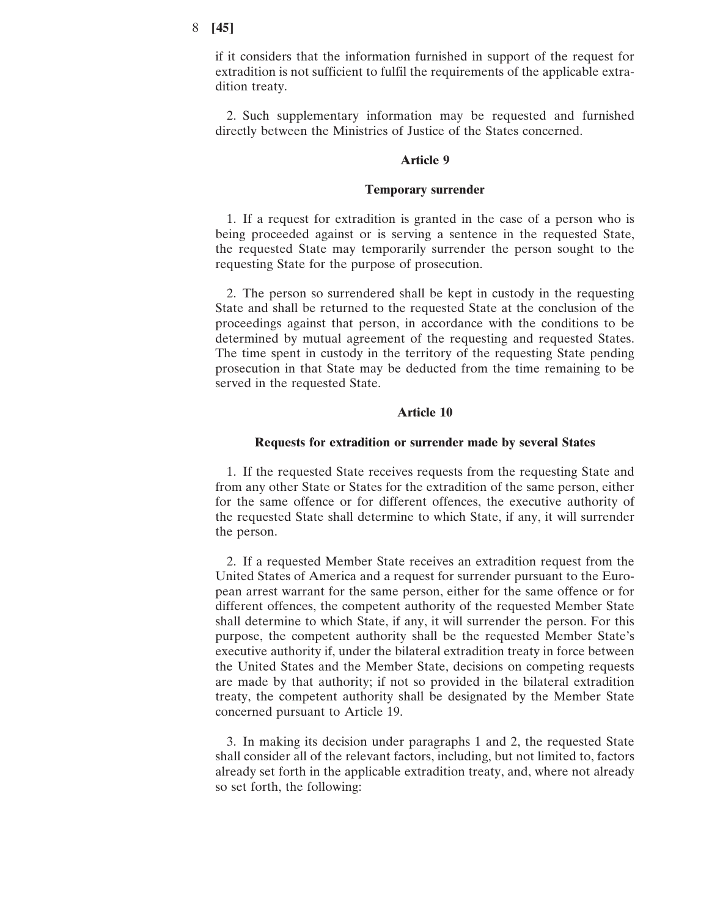if it considers that the information furnished in support of the request for extradition is not sufficient to fulfil the requirements of the applicable extradition treaty.

2. Such supplementary information may be requested and furnished directly between the Ministries of Justice of the States concerned.

#### **Article 9**

#### **Temporary surrender**

1. If a request for extradition is granted in the case of a person who is being proceeded against or is serving a sentence in the requested State, the requested State may temporarily surrender the person sought to the requesting State for the purpose of prosecution.

2. The person so surrendered shall be kept in custody in the requesting State and shall be returned to the requested State at the conclusion of the proceedings against that person, in accordance with the conditions to be determined by mutual agreement of the requesting and requested States. The time spent in custody in the territory of the requesting State pending prosecution in that State may be deducted from the time remaining to be served in the requested State.

### **Article 10**

#### **Requests for extradition or surrender made by several States**

1. If the requested State receives requests from the requesting State and from any other State or States for the extradition of the same person, either for the same offence or for different offences, the executive authority of the requested State shall determine to which State, if any, it will surrender the person.

2. If a requested Member State receives an extradition request from the United States of America and a request for surrender pursuant to the European arrest warrant for the same person, either for the same offence or for different offences, the competent authority of the requested Member State shall determine to which State, if any, it will surrender the person. For this purpose, the competent authority shall be the requested Member State's executive authority if, under the bilateral extradition treaty in force between the United States and the Member State, decisions on competing requests are made by that authority; if not so provided in the bilateral extradition treaty, the competent authority shall be designated by the Member State concerned pursuant to Article 19.

3. In making its decision under paragraphs 1 and 2, the requested State shall consider all of the relevant factors, including, but not limited to, factors already set forth in the applicable extradition treaty, and, where not already so set forth, the following: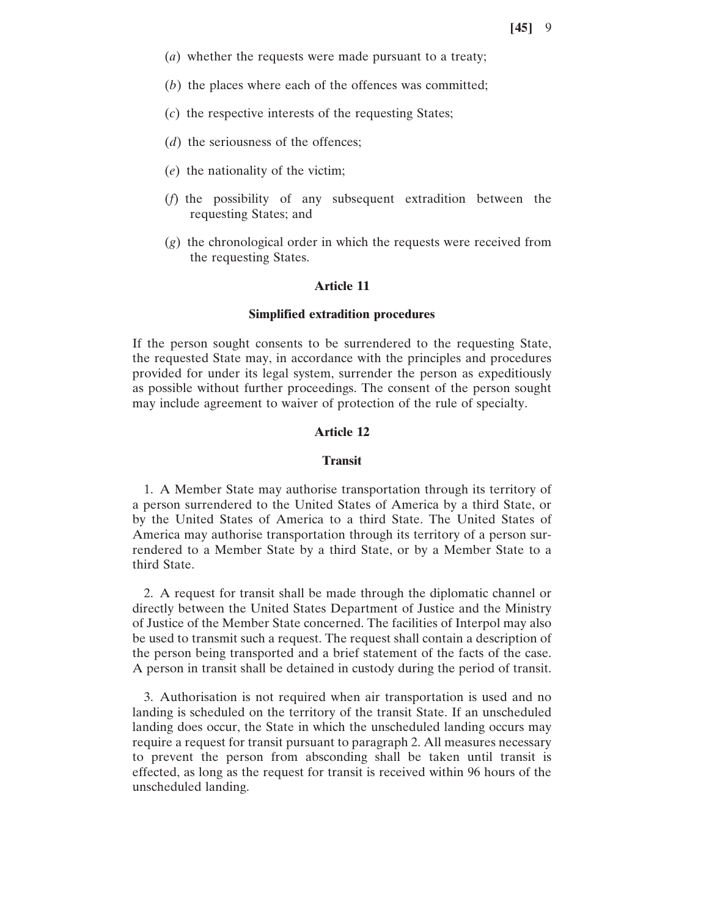- (*a*) whether the requests were made pursuant to a treaty;
- (*b*) the places where each of the offences was committed;
- (*c*) the respective interests of the requesting States;
- (*d*) the seriousness of the offences;
- (*e*) the nationality of the victim;
- (*f*) the possibility of any subsequent extradition between the requesting States; and
- (*g*) the chronological order in which the requests were received from the requesting States.

## **Article 11**

### **Simplified extradition procedures**

If the person sought consents to be surrendered to the requesting State, the requested State may, in accordance with the principles and procedures provided for under its legal system, surrender the person as expeditiously as possible without further proceedings. The consent of the person sought may include agreement to waiver of protection of the rule of specialty.

## **Article 12**

#### **Transit**

1. A Member State may authorise transportation through its territory of a person surrendered to the United States of America by a third State, or by the United States of America to a third State. The United States of America may authorise transportation through its territory of a person surrendered to a Member State by a third State, or by a Member State to a third State.

2. A request for transit shall be made through the diplomatic channel or directly between the United States Department of Justice and the Ministry of Justice of the Member State concerned. The facilities of Interpol may also be used to transmit such a request. The request shall contain a description of the person being transported and a brief statement of the facts of the case. A person in transit shall be detained in custody during the period of transit.

3. Authorisation is not required when air transportation is used and no landing is scheduled on the territory of the transit State. If an unscheduled landing does occur, the State in which the unscheduled landing occurs may require a request for transit pursuant to paragraph 2. All measures necessary to prevent the person from absconding shall be taken until transit is effected, as long as the request for transit is received within 96 hours of the unscheduled landing.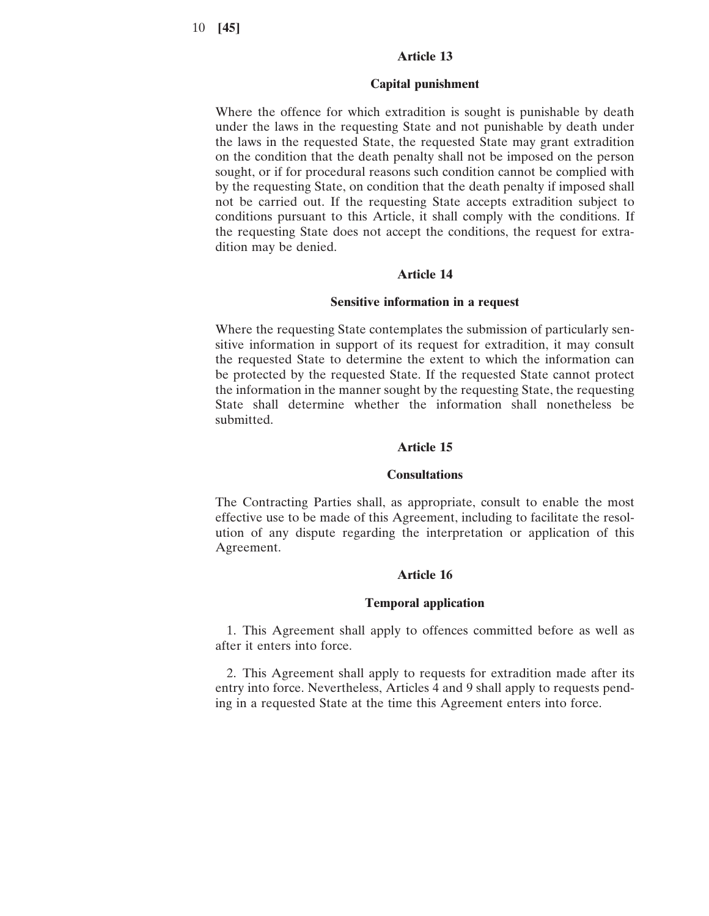## **Article 13**

#### **Capital punishment**

Where the offence for which extradition is sought is punishable by death under the laws in the requesting State and not punishable by death under the laws in the requested State, the requested State may grant extradition on the condition that the death penalty shall not be imposed on the person sought, or if for procedural reasons such condition cannot be complied with by the requesting State, on condition that the death penalty if imposed shall not be carried out. If the requesting State accepts extradition subject to conditions pursuant to this Article, it shall comply with the conditions. If the requesting State does not accept the conditions, the request for extradition may be denied.

#### **Article 14**

#### **Sensitive information in a request**

Where the requesting State contemplates the submission of particularly sensitive information in support of its request for extradition, it may consult the requested State to determine the extent to which the information can be protected by the requested State. If the requested State cannot protect the information in the manner sought by the requesting State, the requesting State shall determine whether the information shall nonetheless be submitted.

## **Article 15**

#### **Consultations**

The Contracting Parties shall, as appropriate, consult to enable the most effective use to be made of this Agreement, including to facilitate the resolution of any dispute regarding the interpretation or application of this Agreement.

### **Article 16**

### **Temporal application**

1. This Agreement shall apply to offences committed before as well as after it enters into force.

2. This Agreement shall apply to requests for extradition made after its entry into force. Nevertheless, Articles 4 and 9 shall apply to requests pending in a requested State at the time this Agreement enters into force.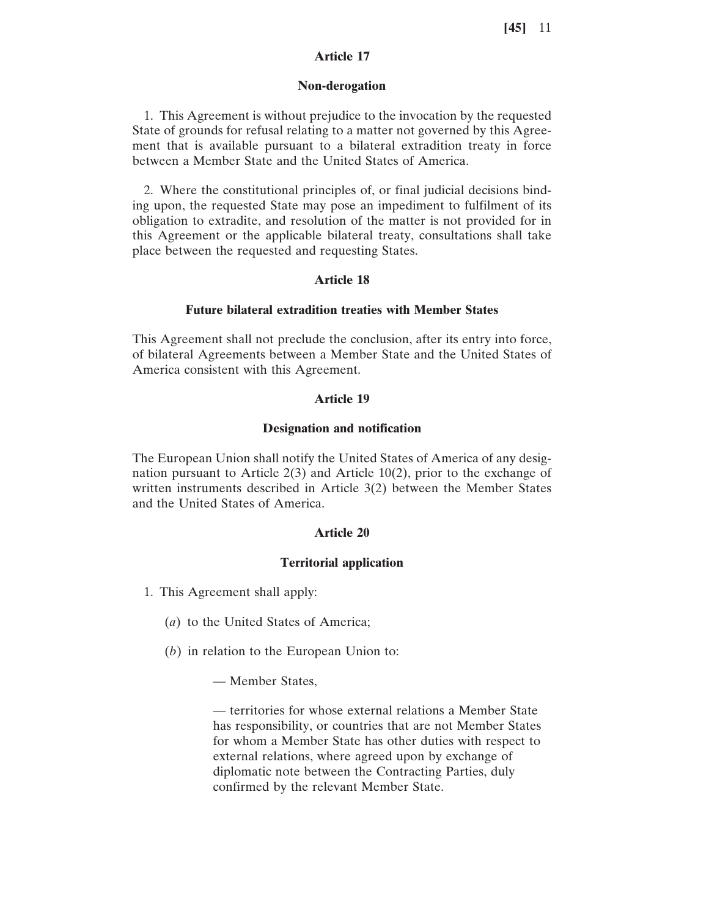## **Article 17**

#### **Non-derogation**

1. This Agreement is without prejudice to the invocation by the requested State of grounds for refusal relating to a matter not governed by this Agreement that is available pursuant to a bilateral extradition treaty in force between a Member State and the United States of America.

2. Where the constitutional principles of, or final judicial decisions binding upon, the requested State may pose an impediment to fulfilment of its obligation to extradite, and resolution of the matter is not provided for in this Agreement or the applicable bilateral treaty, consultations shall take place between the requested and requesting States.

### **Article 18**

#### **Future bilateral extradition treaties with Member States**

This Agreement shall not preclude the conclusion, after its entry into force, of bilateral Agreements between a Member State and the United States of America consistent with this Agreement.

#### **Article 19**

#### **Designation and notification**

The European Union shall notify the United States of America of any designation pursuant to Article 2(3) and Article 10(2), prior to the exchange of written instruments described in Article 3(2) between the Member States and the United States of America.

#### **Article 20**

### **Territorial application**

- 1. This Agreement shall apply:
	- (*a*) to the United States of America;
	- (*b*) in relation to the European Union to:

— Member States,

— territories for whose external relations a Member State has responsibility, or countries that are not Member States for whom a Member State has other duties with respect to external relations, where agreed upon by exchange of diplomatic note between the Contracting Parties, duly confirmed by the relevant Member State.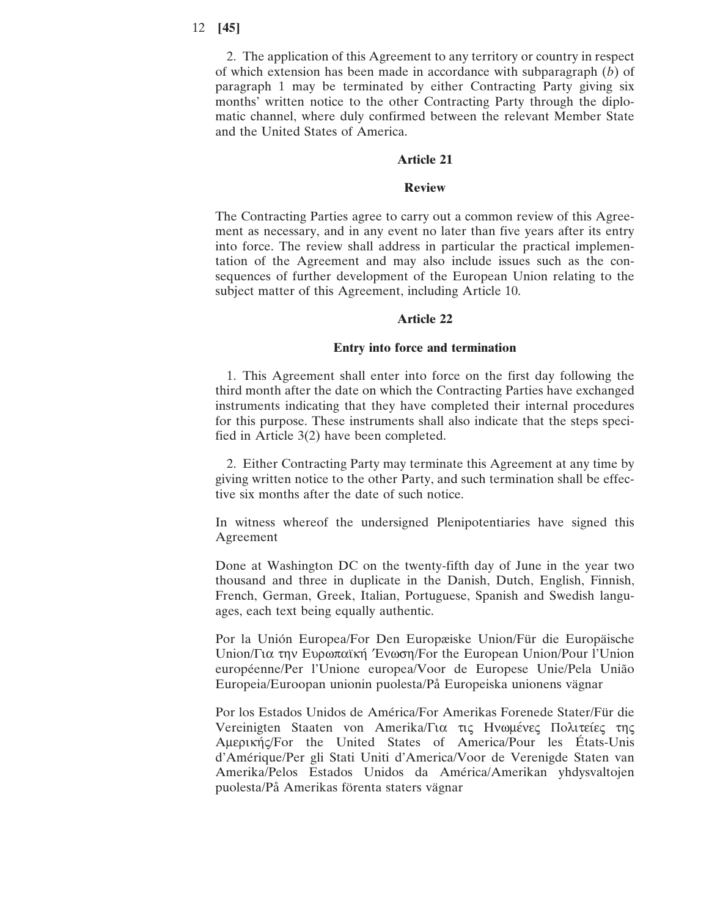2. The application of this Agreement to any territory or country in respect of which extension has been made in accordance with subparagraph (*b*) of paragraph 1 may be terminated by either Contracting Party giving six months' written notice to the other Contracting Party through the diplomatic channel, where duly confirmed between the relevant Member State and the United States of America.

## **Article 21**

### **Review**

The Contracting Parties agree to carry out a common review of this Agreement as necessary, and in any event no later than five years after its entry into force. The review shall address in particular the practical implementation of the Agreement and may also include issues such as the consequences of further development of the European Union relating to the subject matter of this Agreement, including Article 10.

### **Article 22**

### **Entry into force and termination**

1. This Agreement shall enter into force on the first day following the third month after the date on which the Contracting Parties have exchanged instruments indicating that they have completed their internal procedures for this purpose. These instruments shall also indicate that the steps specified in Article 3(2) have been completed.

2. Either Contracting Party may terminate this Agreement at any time by giving written notice to the other Party, and such termination shall be effective six months after the date of such notice.

In witness whereof the undersigned Plenipotentiaries have signed this Agreement

Done at Washington DC on the twenty-fifth day of June in the year two thousand and three in duplicate in the Danish, Dutch, English, Finnish, French, German, Greek, Italian, Portuguese, Spanish and Swedish languages, each text being equally authentic.

Por la Unión Europea/For Den Europæiske Union/Für die Europäische Union/Για την Ευρωπαϊκή Ένωση/For the European Union/Pour l'Union européenne/Per l'Unione europea/Voor de Europese Unie/Pela União Europeia/Euroopan unionin puolesta/På Europeiska unionens vägnar

Por los Estados Unidos de América/For Amerikas Forenede Stater/Für die Vereinigten Staaten von Amerika/Για τις Ηνωμένες Πολιτείες της Aμερικής/For the United States of America/Pour les États-Unis d'Amérique/Per gli Stati Uniti d'America/Voor de Verenigde Staten van Amerika/Pelos Estados Unidos da América/Amerikan yhdysvaltojen puolesta/På Amerikas förenta staters vägnar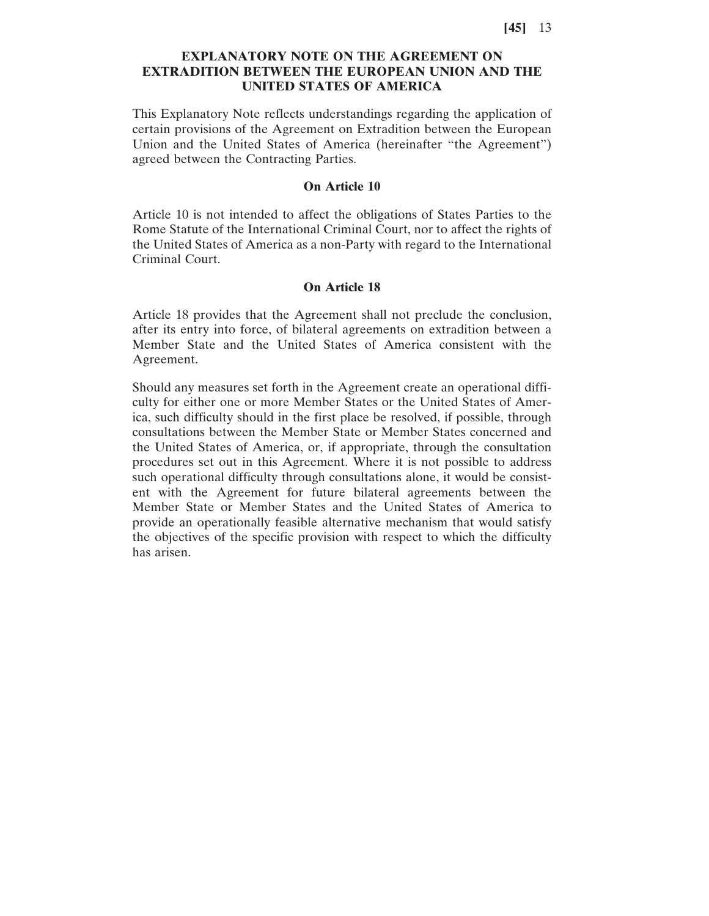## **EXPLANATORY NOTE ON THE AGREEMENT ON EXTRADITION BETWEEN THE EUROPEAN UNION AND THE UNITED STATES OF AMERICA**

This Explanatory Note reflects understandings regarding the application of certain provisions of the Agreement on Extradition between the European Union and the United States of America (hereinafter "the Agreement") agreed between the Contracting Parties.

## **On Article 10**

Article 10 is not intended to affect the obligations of States Parties to the Rome Statute of the International Criminal Court, nor to affect the rights of the United States of America as a non-Party with regard to the International Criminal Court.

## **On Article 18**

Article 18 provides that the Agreement shall not preclude the conclusion, after its entry into force, of bilateral agreements on extradition between a Member State and the United States of America consistent with the Agreement.

Should any measures set forth in the Agreement create an operational difficulty for either one or more Member States or the United States of America, such difficulty should in the first place be resolved, if possible, through consultations between the Member State or Member States concerned and the United States of America, or, if appropriate, through the consultation procedures set out in this Agreement. Where it is not possible to address such operational difficulty through consultations alone, it would be consistent with the Agreement for future bilateral agreements between the Member State or Member States and the United States of America to provide an operationally feasible alternative mechanism that would satisfy the objectives of the specific provision with respect to which the difficulty has arisen.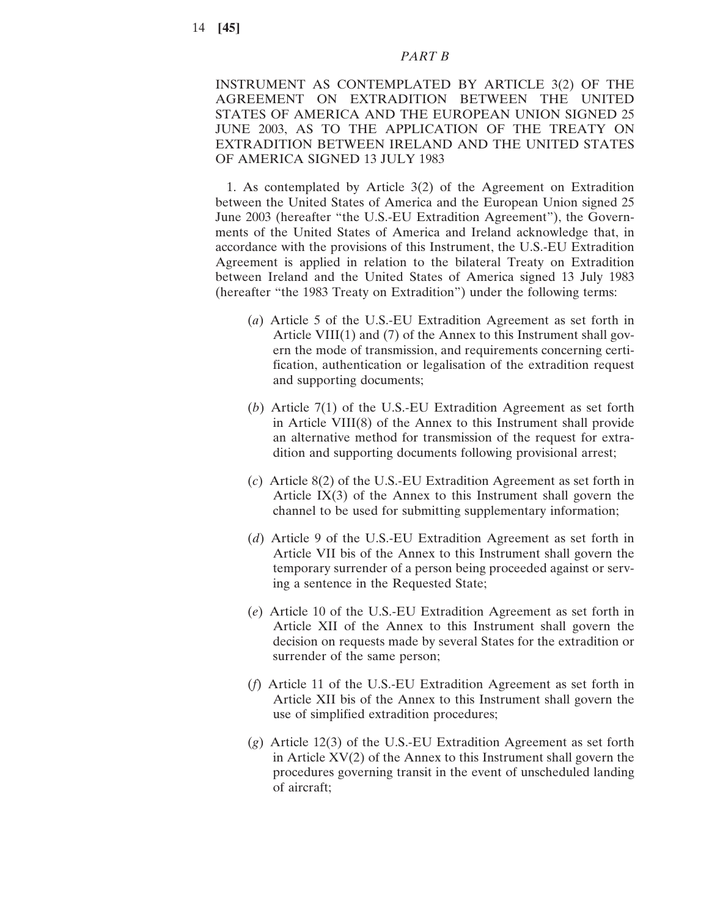### *PART B*

INSTRUMENT AS CONTEMPLATED BY ARTICLE 3(2) OF THE AGREEMENT ON EXTRADITION BETWEEN THE UNITED STATES OF AMERICA AND THE EUROPEAN UNION SIGNED 25 JUNE 2003, AS TO THE APPLICATION OF THE TREATY ON EXTRADITION BETWEEN IRELAND AND THE UNITED STATES OF AMERICA SIGNED 13 JULY 1983

1. As contemplated by Article 3(2) of the Agreement on Extradition between the United States of America and the European Union signed 25 June 2003 (hereafter "the U.S.-EU Extradition Agreement"), the Governments of the United States of America and Ireland acknowledge that, in accordance with the provisions of this Instrument, the U.S.-EU Extradition Agreement is applied in relation to the bilateral Treaty on Extradition between Ireland and the United States of America signed 13 July 1983 (hereafter "the 1983 Treaty on Extradition") under the following terms:

- (*a*) Article 5 of the U.S.-EU Extradition Agreement as set forth in Article VIII(1) and (7) of the Annex to this Instrument shall govern the mode of transmission, and requirements concerning certification, authentication or legalisation of the extradition request and supporting documents;
- (*b*) Article 7(1) of the U.S.-EU Extradition Agreement as set forth in Article VIII(8) of the Annex to this Instrument shall provide an alternative method for transmission of the request for extradition and supporting documents following provisional arrest;
- (*c*) Article 8(2) of the U.S.-EU Extradition Agreement as set forth in Article  $IX(3)$  of the Annex to this Instrument shall govern the channel to be used for submitting supplementary information;
- (*d*) Article 9 of the U.S.-EU Extradition Agreement as set forth in Article VII bis of the Annex to this Instrument shall govern the temporary surrender of a person being proceeded against or serving a sentence in the Requested State;
- (*e*) Article 10 of the U.S.-EU Extradition Agreement as set forth in Article XII of the Annex to this Instrument shall govern the decision on requests made by several States for the extradition or surrender of the same person;
- (*f*) Article 11 of the U.S.-EU Extradition Agreement as set forth in Article XII bis of the Annex to this Instrument shall govern the use of simplified extradition procedures;
- (*g*) Article 12(3) of the U.S.-EU Extradition Agreement as set forth in Article XV(2) of the Annex to this Instrument shall govern the procedures governing transit in the event of unscheduled landing of aircraft;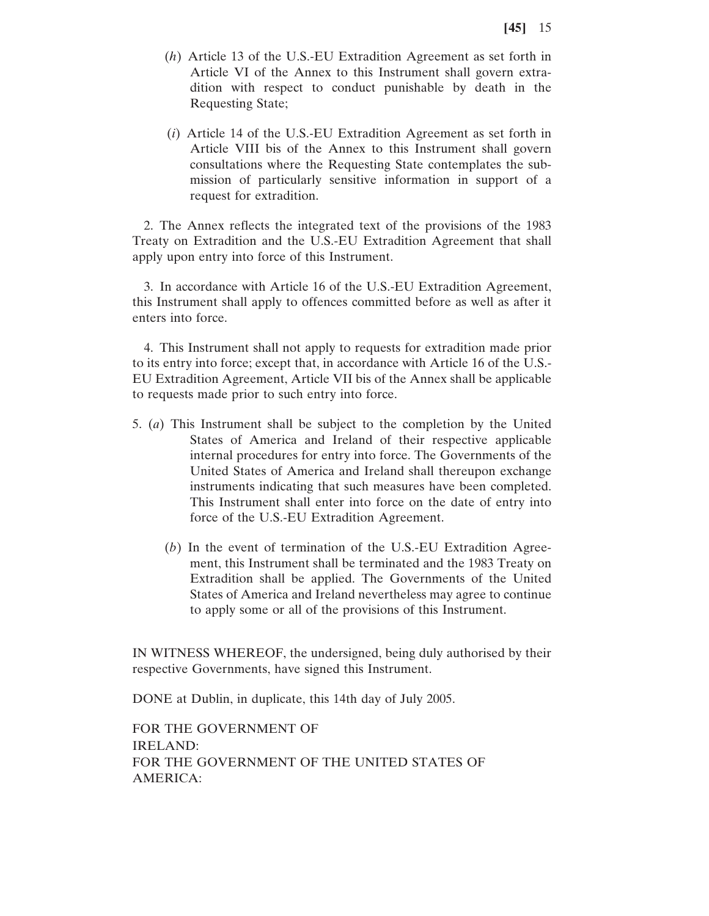- (*h*) Article 13 of the U.S.-EU Extradition Agreement as set forth in Article VI of the Annex to this Instrument shall govern extradition with respect to conduct punishable by death in the Requesting State;
- (*i*) Article 14 of the U.S.-EU Extradition Agreement as set forth in Article VIII bis of the Annex to this Instrument shall govern consultations where the Requesting State contemplates the submission of particularly sensitive information in support of a request for extradition.

2. The Annex reflects the integrated text of the provisions of the 1983 Treaty on Extradition and the U.S.-EU Extradition Agreement that shall apply upon entry into force of this Instrument.

3. In accordance with Article 16 of the U.S.-EU Extradition Agreement, this Instrument shall apply to offences committed before as well as after it enters into force.

4. This Instrument shall not apply to requests for extradition made prior to its entry into force; except that, in accordance with Article 16 of the U.S.- EU Extradition Agreement, Article VII bis of the Annex shall be applicable to requests made prior to such entry into force.

- 5. (*a*) This Instrument shall be subject to the completion by the United States of America and Ireland of their respective applicable internal procedures for entry into force. The Governments of the United States of America and Ireland shall thereupon exchange instruments indicating that such measures have been completed. This Instrument shall enter into force on the date of entry into force of the U.S.-EU Extradition Agreement.
	- (*b*) In the event of termination of the U.S.-EU Extradition Agreement, this Instrument shall be terminated and the 1983 Treaty on Extradition shall be applied. The Governments of the United States of America and Ireland nevertheless may agree to continue to apply some or all of the provisions of this Instrument.

IN WITNESS WHEREOF, the undersigned, being duly authorised by their respective Governments, have signed this Instrument.

DONE at Dublin, in duplicate, this 14th day of July 2005.

FOR THE GOVERNMENT OF IRELAND: FOR THE GOVERNMENT OF THE UNITED STATES OF AMERICA: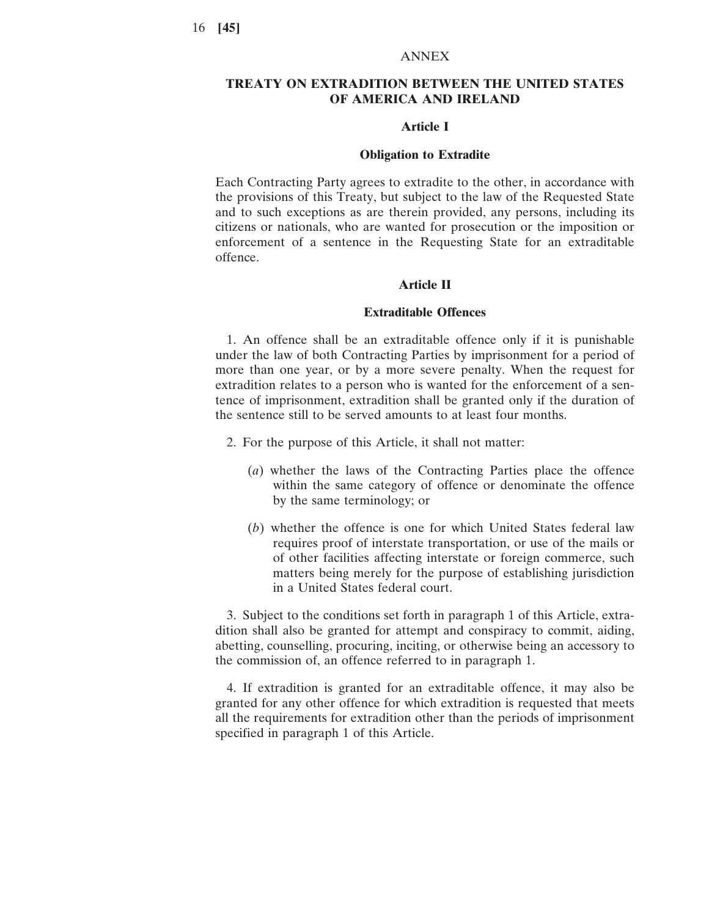### ANNEX

## **TREATY ON EXTRADITION BETWEEN THE UNITED STATES OF AMERICA AND IRELAND**

## **Article I**

#### **Obligation to Extradite**

Each Contracting Party agrees to extradite to the other, in accordance with the provisions of this Treaty, but subject to the law of the Requested State and to such exceptions as are therein provided, any persons, including its citizens or nationals, who are wanted for prosecution or the imposition or enforcement of a sentence in the Requesting State for an extraditable offence.

#### **Article II**

### **Extraditable Offences**

1. An offence shall be an extraditable offence only if it is punishable under the law of both Contracting Parties by imprisonment for a period of more than one year, or by a more severe penalty. When the request for extradition relates to a person who is wanted for the enforcement of a sentence of imprisonment, extradition shall be granted only if the duration of the sentence still to be served amounts to at least four months.

- 2. For the purpose of this Article, it shall not matter:
	- (*a*) whether the laws of the Contracting Parties place the offence within the same category of offence or denominate the offence by the same terminology; or
	- (*b*) whether the offence is one for which United States federal law requires proof of interstate transportation, or use of the mails or of other facilities affecting interstate or foreign commerce, such matters being merely for the purpose of establishing jurisdiction in a United States federal court.

3. Subject to the conditions set forth in paragraph 1 of this Article, extradition shall also be granted for attempt and conspiracy to commit, aiding, abetting, counselling, procuring, inciting, or otherwise being an accessory to the commission of, an offence referred to in paragraph 1.

4. If extradition is granted for an extraditable offence, it may also be granted for any other offence for which extradition is requested that meets all the requirements for extradition other than the periods of imprisonment specified in paragraph 1 of this Article.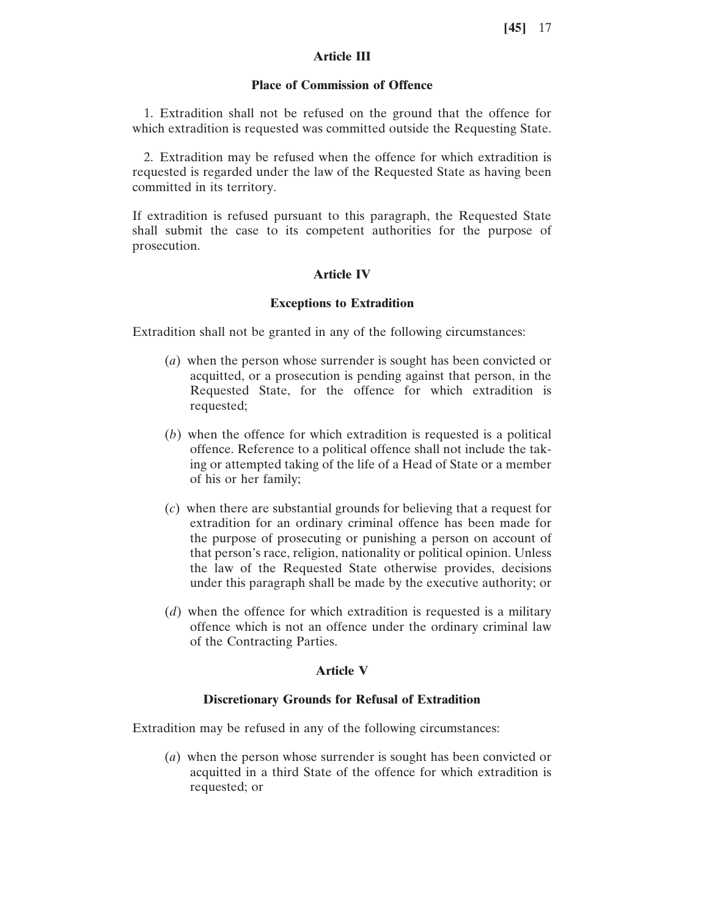## **Article III**

### **Place of Commission of Offence**

1. Extradition shall not be refused on the ground that the offence for which extradition is requested was committed outside the Requesting State.

2. Extradition may be refused when the offence for which extradition is requested is regarded under the law of the Requested State as having been committed in its territory.

If extradition is refused pursuant to this paragraph, the Requested State shall submit the case to its competent authorities for the purpose of prosecution.

## **Article IV**

### **Exceptions to Extradition**

Extradition shall not be granted in any of the following circumstances:

- (*a*) when the person whose surrender is sought has been convicted or acquitted, or a prosecution is pending against that person, in the Requested State, for the offence for which extradition is requested;
- (*b*) when the offence for which extradition is requested is a political offence. Reference to a political offence shall not include the taking or attempted taking of the life of a Head of State or a member of his or her family;
- (*c*) when there are substantial grounds for believing that a request for extradition for an ordinary criminal offence has been made for the purpose of prosecuting or punishing a person on account of that person's race, religion, nationality or political opinion. Unless the law of the Requested State otherwise provides, decisions under this paragraph shall be made by the executive authority; or
- (*d*) when the offence for which extradition is requested is a military offence which is not an offence under the ordinary criminal law of the Contracting Parties.

### **Article V**

#### **Discretionary Grounds for Refusal of Extradition**

Extradition may be refused in any of the following circumstances:

(*a*) when the person whose surrender is sought has been convicted or acquitted in a third State of the offence for which extradition is requested; or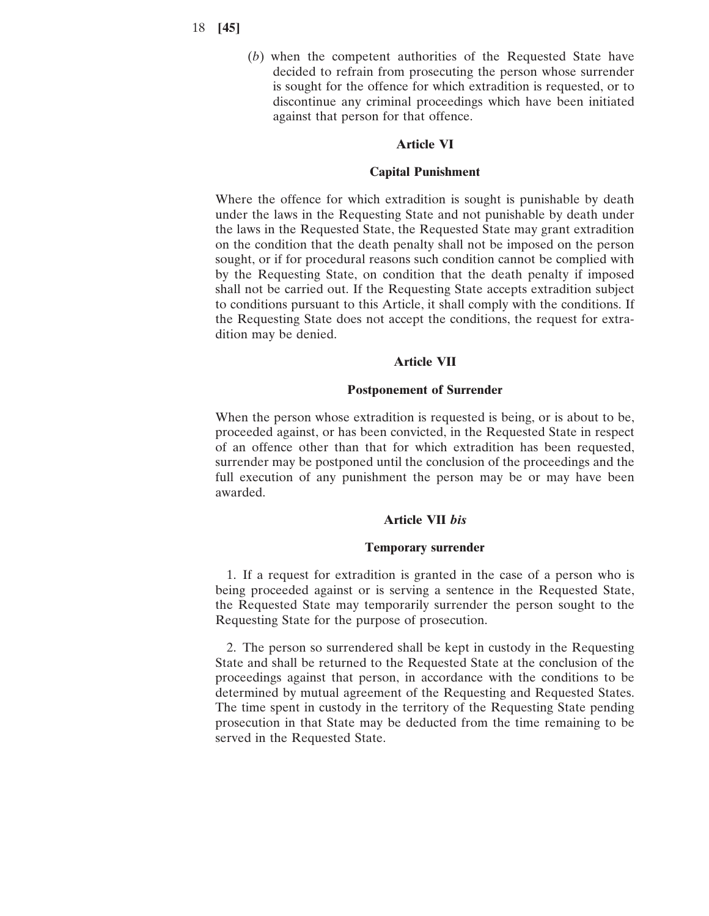(*b*) when the competent authorities of the Requested State have decided to refrain from prosecuting the person whose surrender is sought for the offence for which extradition is requested, or to discontinue any criminal proceedings which have been initiated against that person for that offence.

### **Article VI**

### **Capital Punishment**

Where the offence for which extradition is sought is punishable by death under the laws in the Requesting State and not punishable by death under the laws in the Requested State, the Requested State may grant extradition on the condition that the death penalty shall not be imposed on the person sought, or if for procedural reasons such condition cannot be complied with by the Requesting State, on condition that the death penalty if imposed shall not be carried out. If the Requesting State accepts extradition subject to conditions pursuant to this Article, it shall comply with the conditions. If the Requesting State does not accept the conditions, the request for extradition may be denied.

## **Article VII**

### **Postponement of Surrender**

When the person whose extradition is requested is being, or is about to be, proceeded against, or has been convicted, in the Requested State in respect of an offence other than that for which extradition has been requested, surrender may be postponed until the conclusion of the proceedings and the full execution of any punishment the person may be or may have been awarded.

### **Article VII** *bis*

### **Temporary surrender**

1. If a request for extradition is granted in the case of a person who is being proceeded against or is serving a sentence in the Requested State, the Requested State may temporarily surrender the person sought to the Requesting State for the purpose of prosecution.

2. The person so surrendered shall be kept in custody in the Requesting State and shall be returned to the Requested State at the conclusion of the proceedings against that person, in accordance with the conditions to be determined by mutual agreement of the Requesting and Requested States. The time spent in custody in the territory of the Requesting State pending prosecution in that State may be deducted from the time remaining to be served in the Requested State.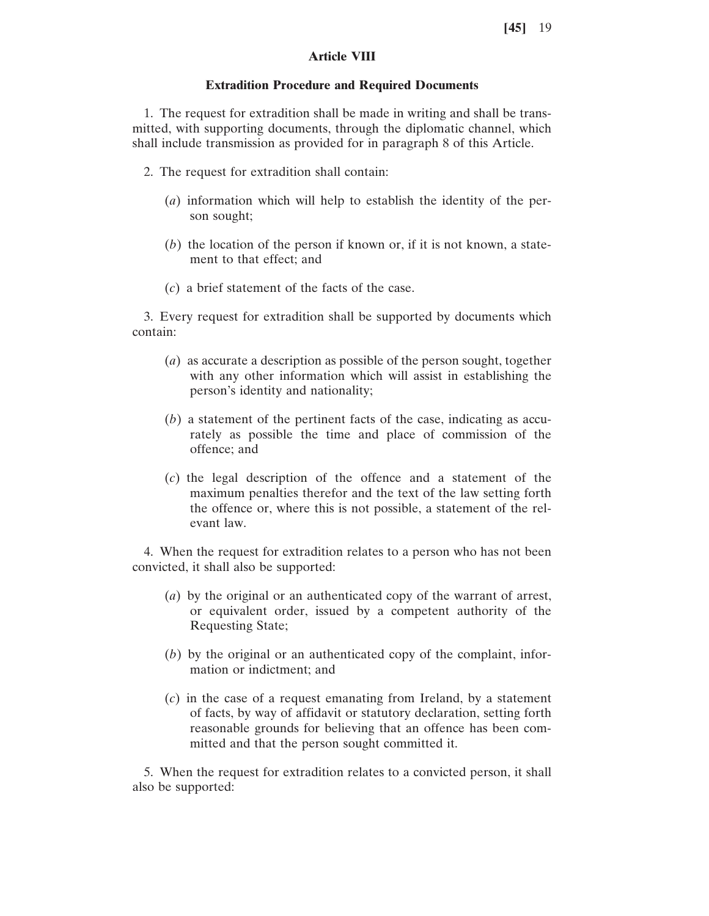## **Article VIII**

### **Extradition Procedure and Required Documents**

1. The request for extradition shall be made in writing and shall be transmitted, with supporting documents, through the diplomatic channel, which shall include transmission as provided for in paragraph 8 of this Article.

- 2. The request for extradition shall contain:
	- (*a*) information which will help to establish the identity of the person sought;
	- (*b*) the location of the person if known or, if it is not known, a statement to that effect; and
	- (*c*) a brief statement of the facts of the case.

3. Every request for extradition shall be supported by documents which contain:

- (*a*) as accurate a description as possible of the person sought, together with any other information which will assist in establishing the person's identity and nationality;
- (*b*) a statement of the pertinent facts of the case, indicating as accurately as possible the time and place of commission of the offence; and
- (*c*) the legal description of the offence and a statement of the maximum penalties therefor and the text of the law setting forth the offence or, where this is not possible, a statement of the relevant law.

4. When the request for extradition relates to a person who has not been convicted, it shall also be supported:

- (*a*) by the original or an authenticated copy of the warrant of arrest, or equivalent order, issued by a competent authority of the Requesting State;
- (*b*) by the original or an authenticated copy of the complaint, information or indictment; and
- (*c*) in the case of a request emanating from Ireland, by a statement of facts, by way of affidavit or statutory declaration, setting forth reasonable grounds for believing that an offence has been committed and that the person sought committed it.

5. When the request for extradition relates to a convicted person, it shall also be supported: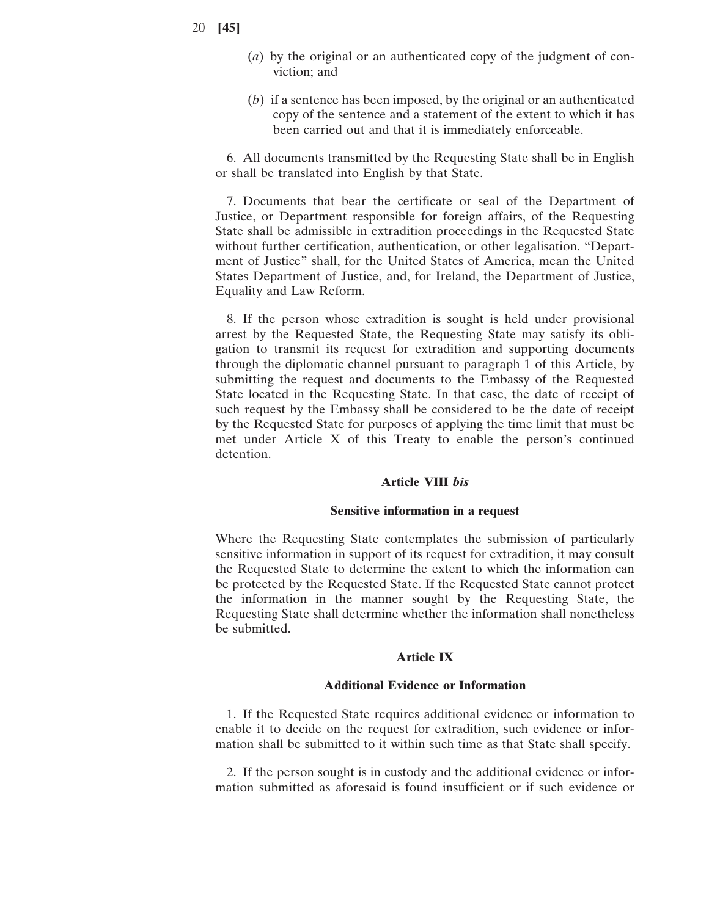- 20 **[45]**
- (*a*) by the original or an authenticated copy of the judgment of conviction; and
- (*b*) if a sentence has been imposed, by the original or an authenticated copy of the sentence and a statement of the extent to which it has been carried out and that it is immediately enforceable.

6. All documents transmitted by the Requesting State shall be in English or shall be translated into English by that State.

7. Documents that bear the certificate or seal of the Department of Justice, or Department responsible for foreign affairs, of the Requesting State shall be admissible in extradition proceedings in the Requested State without further certification, authentication, or other legalisation. "Department of Justice" shall, for the United States of America, mean the United States Department of Justice, and, for Ireland, the Department of Justice, Equality and Law Reform.

8. If the person whose extradition is sought is held under provisional arrest by the Requested State, the Requesting State may satisfy its obligation to transmit its request for extradition and supporting documents through the diplomatic channel pursuant to paragraph 1 of this Article, by submitting the request and documents to the Embassy of the Requested State located in the Requesting State. In that case, the date of receipt of such request by the Embassy shall be considered to be the date of receipt by the Requested State for purposes of applying the time limit that must be met under Article X of this Treaty to enable the person's continued detention.

### **Article VIII** *bis*

### **Sensitive information in a request**

Where the Requesting State contemplates the submission of particularly sensitive information in support of its request for extradition, it may consult the Requested State to determine the extent to which the information can be protected by the Requested State. If the Requested State cannot protect the information in the manner sought by the Requesting State, the Requesting State shall determine whether the information shall nonetheless be submitted.

### **Article IX**

#### **Additional Evidence or Information**

1. If the Requested State requires additional evidence or information to enable it to decide on the request for extradition, such evidence or information shall be submitted to it within such time as that State shall specify.

2. If the person sought is in custody and the additional evidence or information submitted as aforesaid is found insufficient or if such evidence or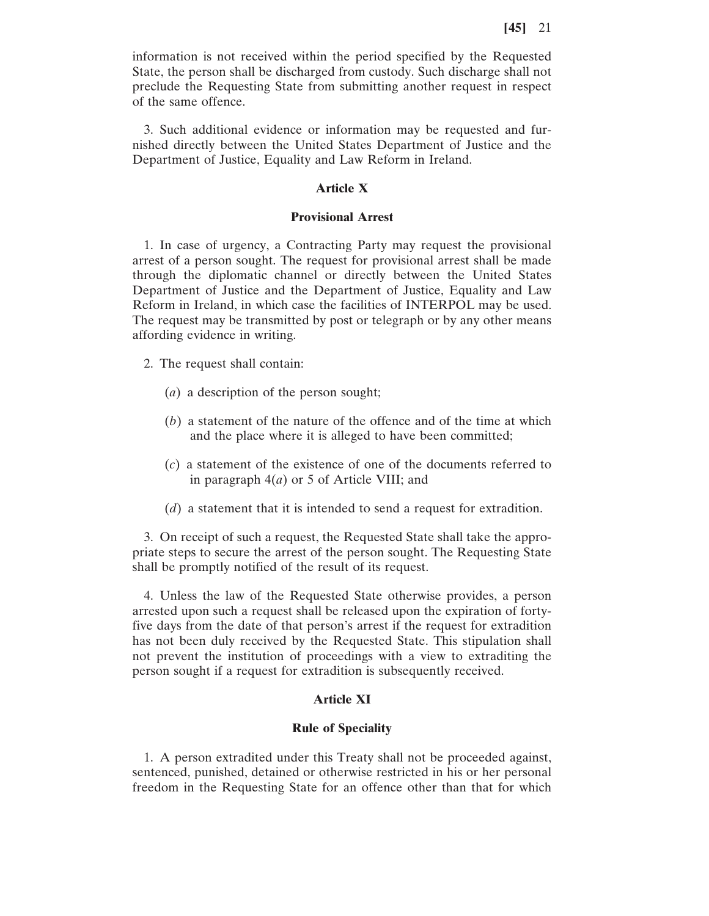information is not received within the period specified by the Requested State, the person shall be discharged from custody. Such discharge shall not preclude the Requesting State from submitting another request in respect of the same offence.

3. Such additional evidence or information may be requested and furnished directly between the United States Department of Justice and the Department of Justice, Equality and Law Reform in Ireland.

#### **Article X**

### **Provisional Arrest**

1. In case of urgency, a Contracting Party may request the provisional arrest of a person sought. The request for provisional arrest shall be made through the diplomatic channel or directly between the United States Department of Justice and the Department of Justice, Equality and Law Reform in Ireland, in which case the facilities of INTERPOL may be used. The request may be transmitted by post or telegraph or by any other means affording evidence in writing.

2. The request shall contain:

- (*a*) a description of the person sought;
- (*b*) a statement of the nature of the offence and of the time at which and the place where it is alleged to have been committed;
- (*c*) a statement of the existence of one of the documents referred to in paragraph 4(*a*) or 5 of Article VIII; and
- (*d*) a statement that it is intended to send a request for extradition.

3. On receipt of such a request, the Requested State shall take the appropriate steps to secure the arrest of the person sought. The Requesting State shall be promptly notified of the result of its request.

4. Unless the law of the Requested State otherwise provides, a person arrested upon such a request shall be released upon the expiration of fortyfive days from the date of that person's arrest if the request for extradition has not been duly received by the Requested State. This stipulation shall not prevent the institution of proceedings with a view to extraditing the person sought if a request for extradition is subsequently received.

### **Article XI**

### **Rule of Speciality**

1. A person extradited under this Treaty shall not be proceeded against, sentenced, punished, detained or otherwise restricted in his or her personal freedom in the Requesting State for an offence other than that for which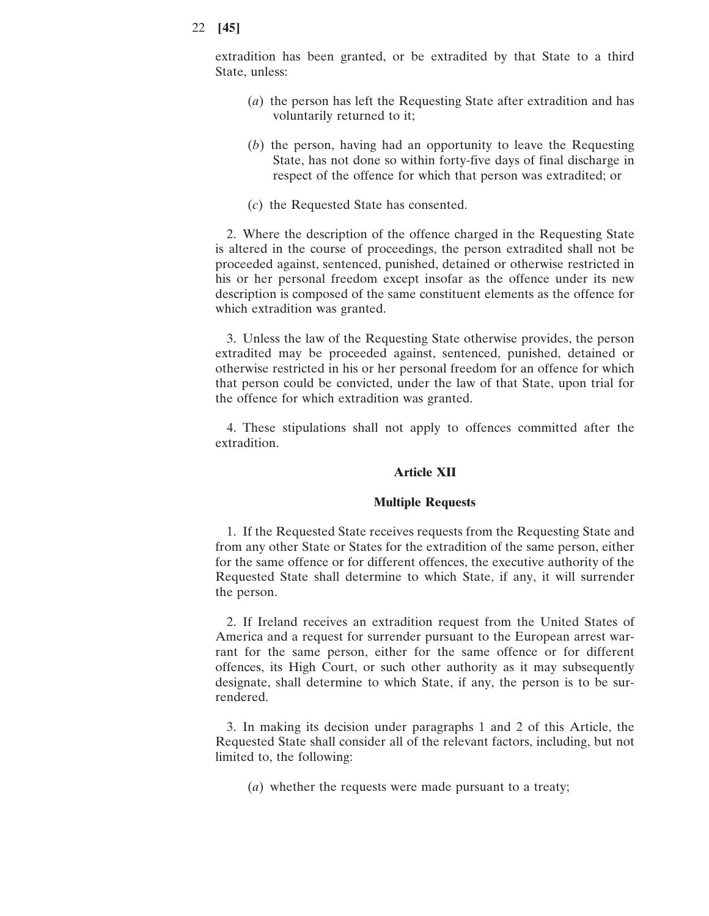extradition has been granted, or be extradited by that State to a third State, unless:

- (*a*) the person has left the Requesting State after extradition and has voluntarily returned to it;
- (*b*) the person, having had an opportunity to leave the Requesting State, has not done so within forty-five days of final discharge in respect of the offence for which that person was extradited; or
- (*c*) the Requested State has consented.

2. Where the description of the offence charged in the Requesting State is altered in the course of proceedings, the person extradited shall not be proceeded against, sentenced, punished, detained or otherwise restricted in his or her personal freedom except insofar as the offence under its new description is composed of the same constituent elements as the offence for which extradition was granted.

3. Unless the law of the Requesting State otherwise provides, the person extradited may be proceeded against, sentenced, punished, detained or otherwise restricted in his or her personal freedom for an offence for which that person could be convicted, under the law of that State, upon trial for the offence for which extradition was granted.

4. These stipulations shall not apply to offences committed after the extradition.

### **Article XII**

### **Multiple Requests**

1. If the Requested State receives requests from the Requesting State and from any other State or States for the extradition of the same person, either for the same offence or for different offences, the executive authority of the Requested State shall determine to which State, if any, it will surrender the person.

2. If Ireland receives an extradition request from the United States of America and a request for surrender pursuant to the European arrest warrant for the same person, either for the same offence or for different offences, its High Court, or such other authority as it may subsequently designate, shall determine to which State, if any, the person is to be surrendered.

3. In making its decision under paragraphs 1 and 2 of this Article, the Requested State shall consider all of the relevant factors, including, but not limited to, the following:

(*a*) whether the requests were made pursuant to a treaty;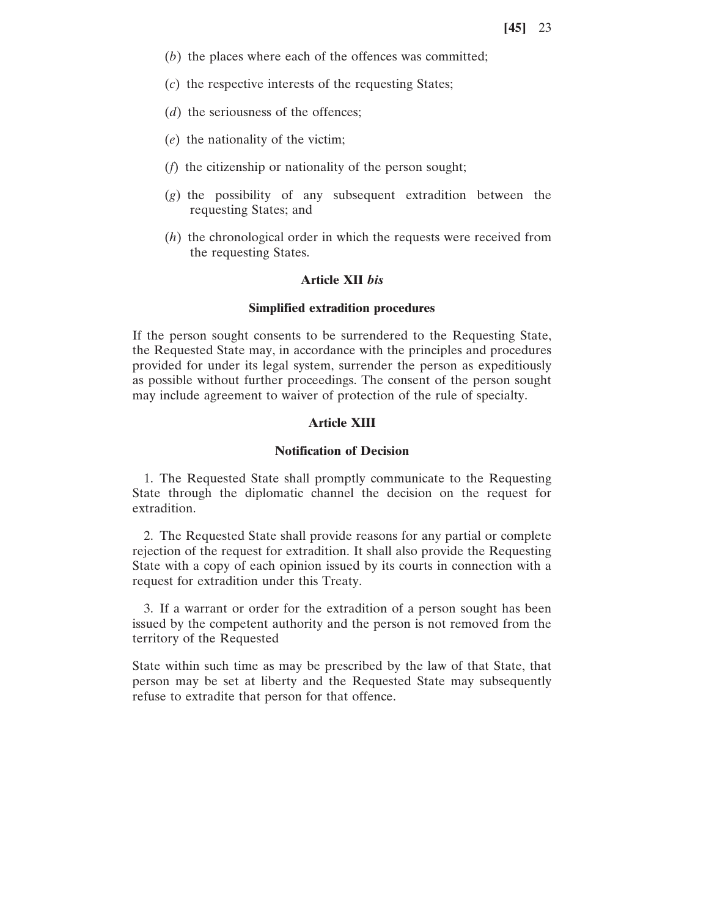- (*b*) the places where each of the offences was committed;
- (*c*) the respective interests of the requesting States;
- (*d*) the seriousness of the offences;
- (*e*) the nationality of the victim;
- (*f*) the citizenship or nationality of the person sought;
- (*g*) the possibility of any subsequent extradition between the requesting States; and
- (*h*) the chronological order in which the requests were received from the requesting States.

### **Article XII** *bis*

#### **Simplified extradition procedures**

If the person sought consents to be surrendered to the Requesting State, the Requested State may, in accordance with the principles and procedures provided for under its legal system, surrender the person as expeditiously as possible without further proceedings. The consent of the person sought may include agreement to waiver of protection of the rule of specialty.

## **Article XIII**

## **Notification of Decision**

1. The Requested State shall promptly communicate to the Requesting State through the diplomatic channel the decision on the request for extradition.

2. The Requested State shall provide reasons for any partial or complete rejection of the request for extradition. It shall also provide the Requesting State with a copy of each opinion issued by its courts in connection with a request for extradition under this Treaty.

3. If a warrant or order for the extradition of a person sought has been issued by the competent authority and the person is not removed from the territory of the Requested

State within such time as may be prescribed by the law of that State, that person may be set at liberty and the Requested State may subsequently refuse to extradite that person for that offence.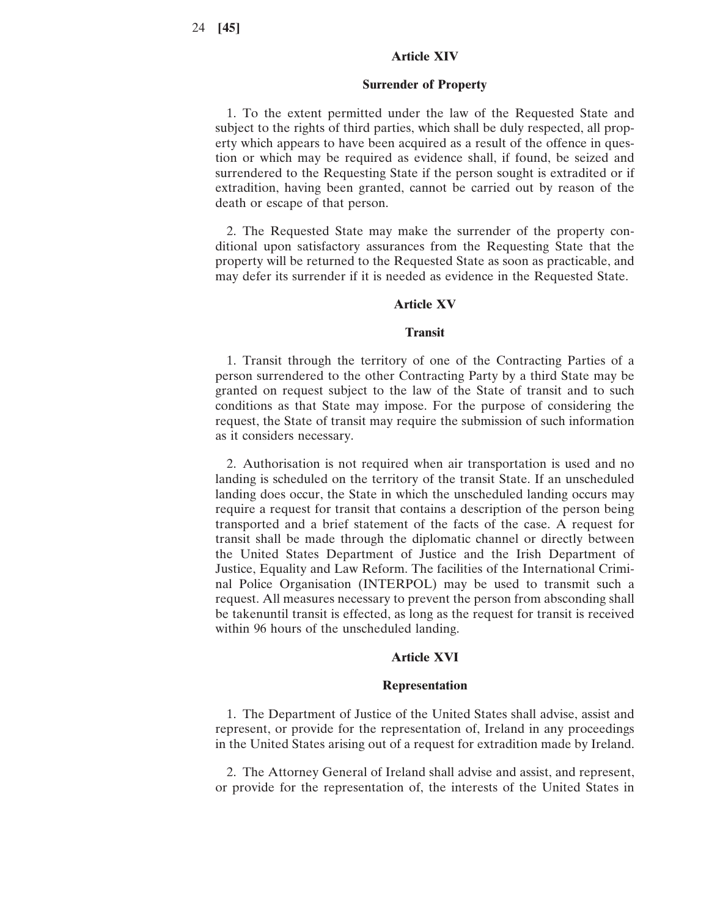### **Article XIV**

#### **Surrender of Property**

1. To the extent permitted under the law of the Requested State and subject to the rights of third parties, which shall be duly respected, all property which appears to have been acquired as a result of the offence in question or which may be required as evidence shall, if found, be seized and surrendered to the Requesting State if the person sought is extradited or if extradition, having been granted, cannot be carried out by reason of the death or escape of that person.

2. The Requested State may make the surrender of the property conditional upon satisfactory assurances from the Requesting State that the property will be returned to the Requested State as soon as practicable, and may defer its surrender if it is needed as evidence in the Requested State.

#### **Article XV**

#### **Transit**

1. Transit through the territory of one of the Contracting Parties of a person surrendered to the other Contracting Party by a third State may be granted on request subject to the law of the State of transit and to such conditions as that State may impose. For the purpose of considering the request, the State of transit may require the submission of such information as it considers necessary.

2. Authorisation is not required when air transportation is used and no landing is scheduled on the territory of the transit State. If an unscheduled landing does occur, the State in which the unscheduled landing occurs may require a request for transit that contains a description of the person being transported and a brief statement of the facts of the case. A request for transit shall be made through the diplomatic channel or directly between the United States Department of Justice and the Irish Department of Justice, Equality and Law Reform. The facilities of the International Criminal Police Organisation (INTERPOL) may be used to transmit such a request. All measures necessary to prevent the person from absconding shall be takenuntil transit is effected, as long as the request for transit is received within 96 hours of the unscheduled landing.

### **Article XVI**

### **Representation**

1. The Department of Justice of the United States shall advise, assist and represent, or provide for the representation of, Ireland in any proceedings in the United States arising out of a request for extradition made by Ireland.

2. The Attorney General of Ireland shall advise and assist, and represent, or provide for the representation of, the interests of the United States in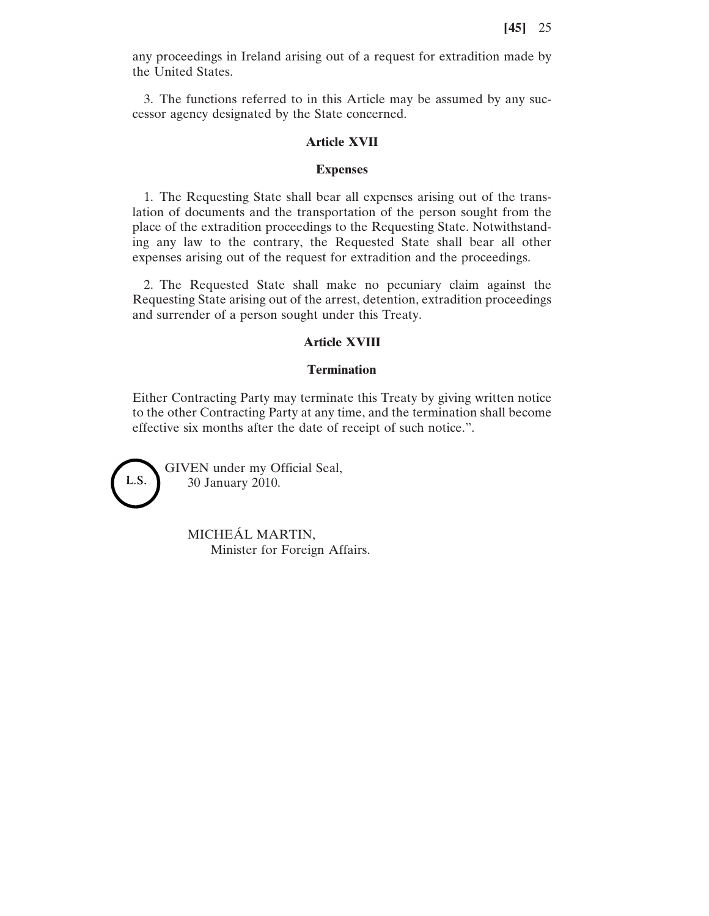any proceedings in Ireland arising out of a request for extradition made by the United States.

3. The functions referred to in this Article may be assumed by any successor agency designated by the State concerned.

### **Article XVII**

#### **Expenses**

1. The Requesting State shall bear all expenses arising out of the translation of documents and the transportation of the person sought from the place of the extradition proceedings to the Requesting State. Notwithstanding any law to the contrary, the Requested State shall bear all other expenses arising out of the request for extradition and the proceedings.

2. The Requested State shall make no pecuniary claim against the Requesting State arising out of the arrest, detention, extradition proceedings and surrender of a person sought under this Treaty.

## **Article XVIII**

### **Termination**

Either Contracting Party may terminate this Treaty by giving written notice to the other Contracting Party at any time, and the termination shall become effective six months after the date of receipt of such notice.".



GIVEN under my Official Seal, 30 January 2010.

> MICHEÁL MARTIN, Minister for Foreign Affairs.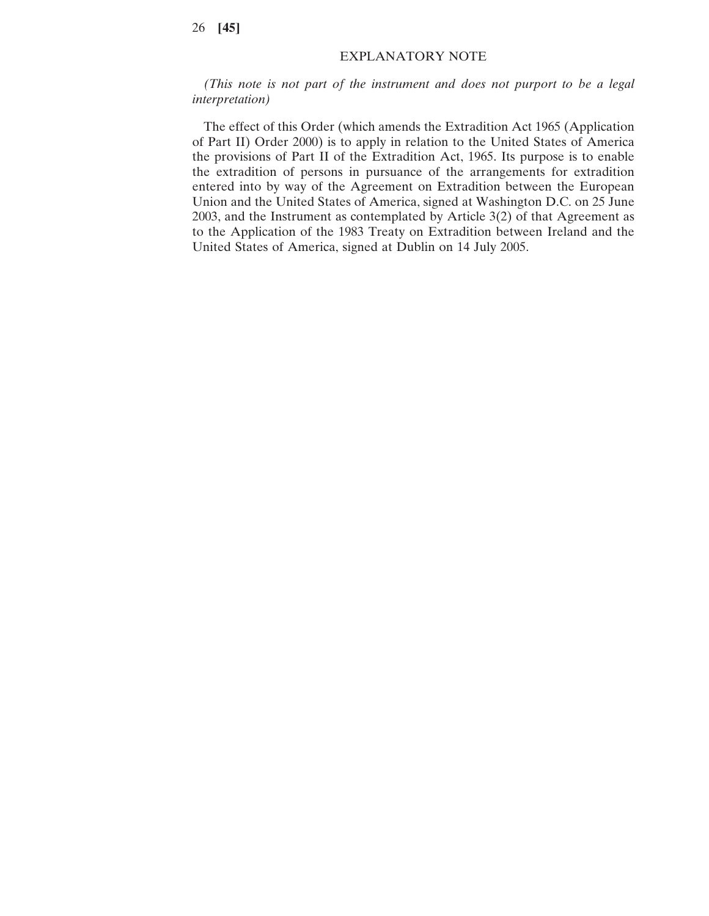## EXPLANATORY NOTE

*(This note is not part of the instrument and does not purport to be a legal interpretation)*

The effect of this Order (which amends the Extradition Act 1965 (Application of Part II) Order 2000) is to apply in relation to the United States of America the provisions of Part II of the Extradition Act, 1965. Its purpose is to enable the extradition of persons in pursuance of the arrangements for extradition entered into by way of the Agreement on Extradition between the European Union and the United States of America, signed at Washington D.C. on 25 June 2003, and the Instrument as contemplated by Article 3(2) of that Agreement as to the Application of the 1983 Treaty on Extradition between Ireland and the United States of America, signed at Dublin on 14 July 2005.